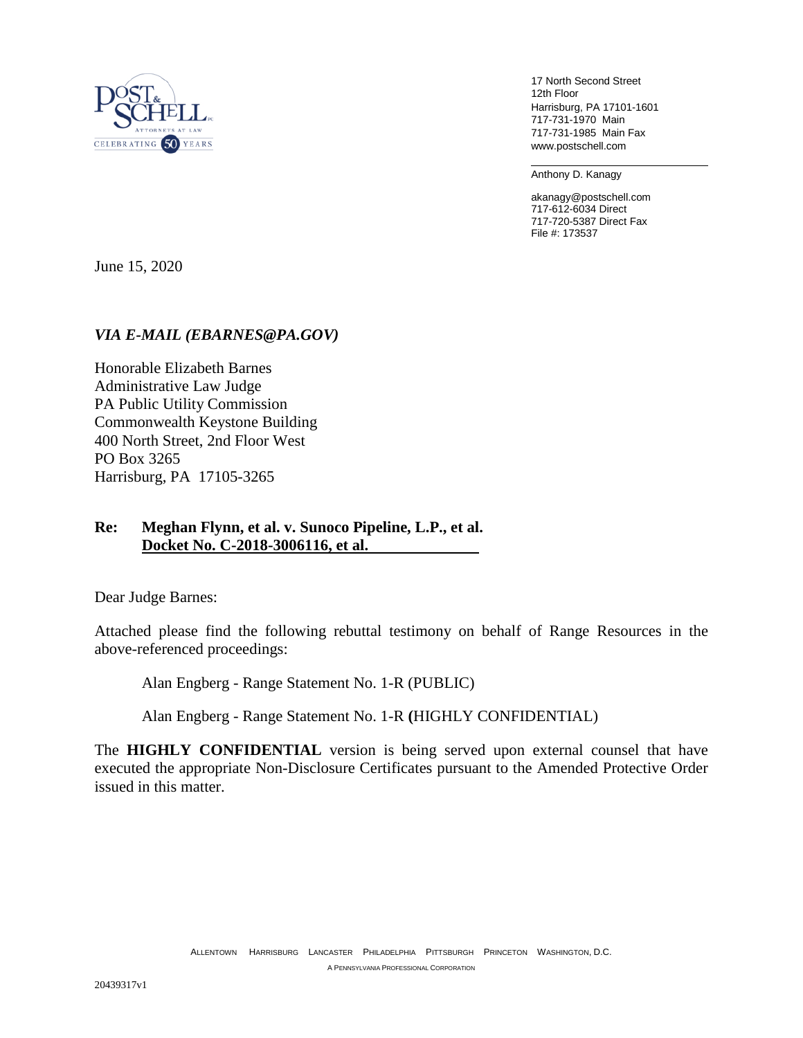

17 North Second Street 12th Floor Harrisburg, PA 17101-1601 717-731-1970 Main 717-731-1985 Main Fax www.postschell.com

Anthony D. Kanagy

akanagy@postschell.com 717-612-6034 Direct 717-720-5387 Direct Fax File #: 173537

June 15, 2020

### *VIA E-MAIL (EBARNES@PA.GOV)*

Honorable Elizabeth Barnes Administrative Law Judge PA Public Utility Commission Commonwealth Keystone Building 400 North Street, 2nd Floor West PO Box 3265 Harrisburg, PA 17105-3265

# **Re: Meghan Flynn, et al. v. Sunoco Pipeline, L.P., et al. Docket No. C-2018-3006116, et al.**

Dear Judge Barnes:

Attached please find the following rebuttal testimony on behalf of Range Resources in the above-referenced proceedings:

Alan Engberg - Range Statement No. 1-R (PUBLIC)

Alan Engberg - Range Statement No. 1-R **(**HIGHLY CONFIDENTIAL)

The **HIGHLY CONFIDENTIAL** version is being served upon external counsel that have executed the appropriate Non-Disclosure Certificates pursuant to the Amended Protective Order issued in this matter.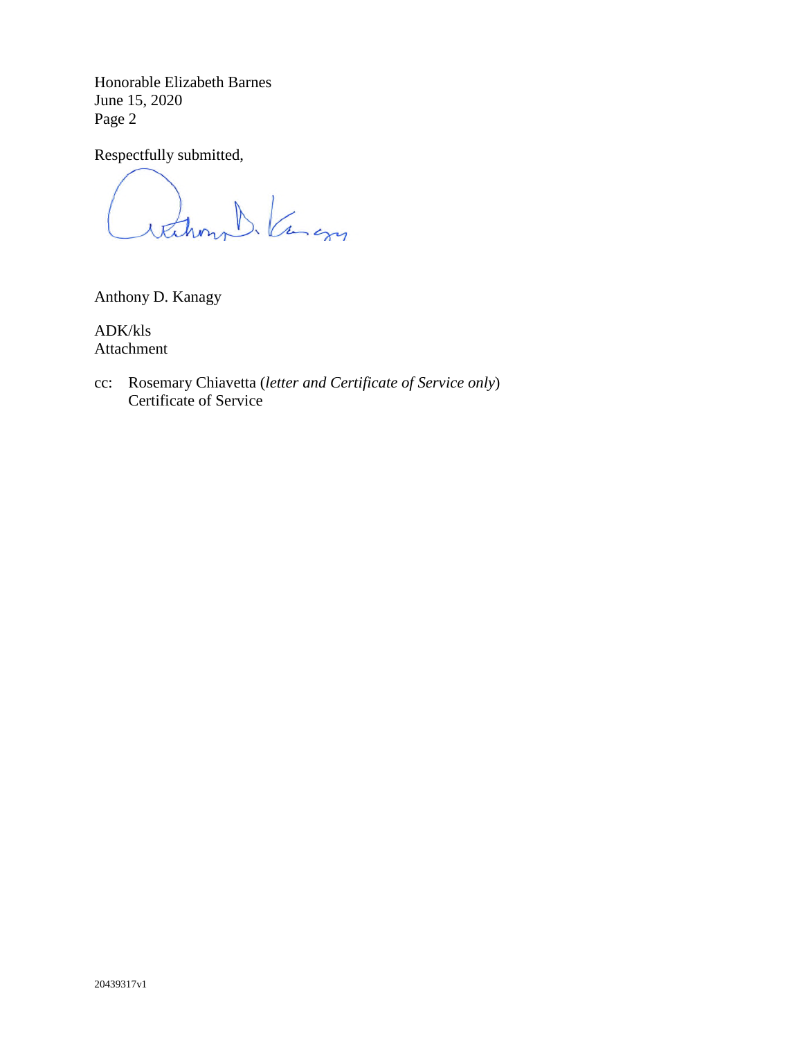Honorable Elizabeth Barnes June 15, 2020 Page 2

Respectfully submitted,

rathmy b. Kang

Anthony D. Kanagy

ADK/kls Attachment

cc: Rosemary Chiavetta (*letter and Certificate of Service only*) Certificate of Service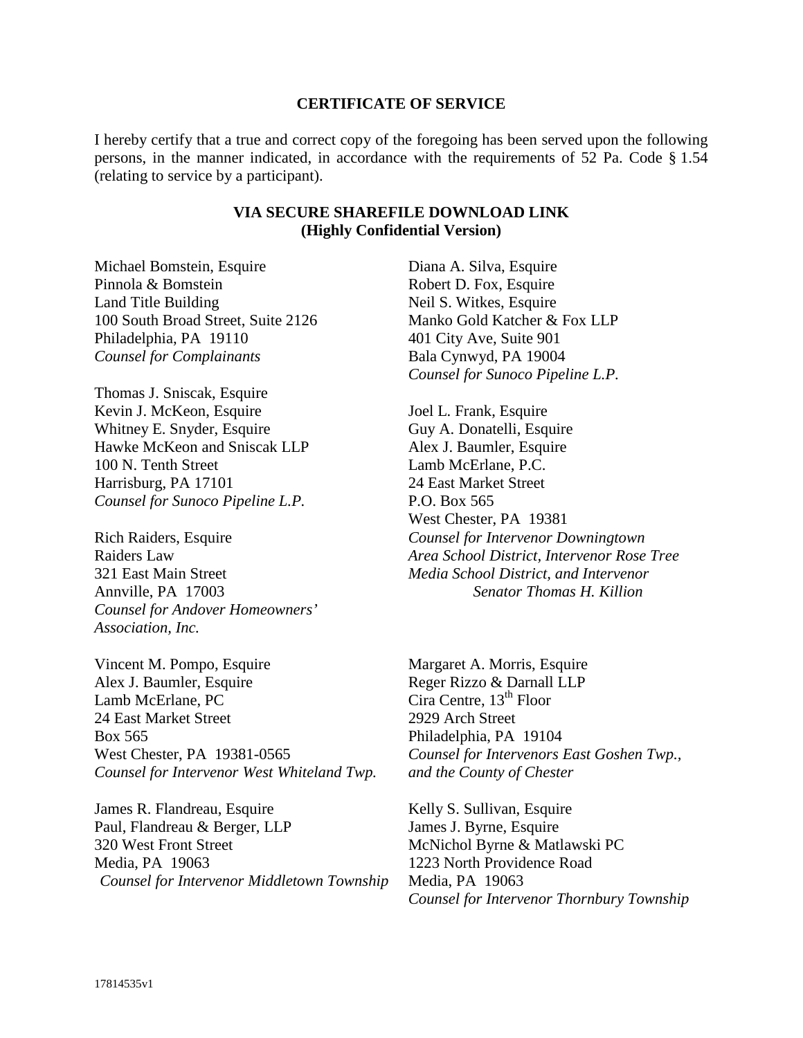#### **CERTIFICATE OF SERVICE**

I hereby certify that a true and correct copy of the foregoing has been served upon the following persons, in the manner indicated, in accordance with the requirements of 52 Pa. Code § 1.54 (relating to service by a participant).

## **VIA SECURE SHAREFILE DOWNLOAD LINK (Highly Confidential Version)**

Michael Bomstein, Esquire Pinnola & Bomstein Land Title Building 100 South Broad Street, Suite 2126 Philadelphia, PA 19110 *Counsel for Complainants* 

Thomas J. Sniscak, Esquire Kevin J. McKeon, Esquire Whitney E. Snyder, Esquire Hawke McKeon and Sniscak LLP 100 N. Tenth Street Harrisburg, PA 17101 *Counsel for Sunoco Pipeline L.P.* 

Rich Raiders, Esquire Raiders Law 321 East Main Street Annville, PA 17003 *Counsel for Andover Homeowners' Association, Inc.*

Vincent M. Pompo, Esquire Alex J. Baumler, Esquire Lamb McErlane, PC 24 East Market Street Box 565 West Chester, PA 19381-0565 *Counsel for Intervenor West Whiteland Twp.* 

James R. Flandreau, Esquire Paul, Flandreau & Berger, LLP 320 West Front Street Media, PA 19063 *Counsel for Intervenor Middletown Township* Diana A. Silva, Esquire Robert D. Fox, Esquire Neil S. Witkes, Esquire Manko Gold Katcher & Fox LLP 401 City Ave, Suite 901 Bala Cynwyd, PA 19004 *Counsel for Sunoco Pipeline L.P.* 

Joel L. Frank, Esquire Guy A. Donatelli, Esquire Alex J. Baumler, Esquire Lamb McErlane, P.C. 24 East Market Street P.O. Box 565 West Chester, PA 19381 *Counsel for Intervenor Downingtown Area School District, Intervenor Rose Tree Media School District, and Intervenor Senator Thomas H. Killion*

Margaret A. Morris, Esquire Reger Rizzo & Darnall LLP Cira Centre,  $13<sup>th</sup>$  Floor 2929 Arch Street Philadelphia, PA 19104 *Counsel for Intervenors East Goshen Twp., and the County of Chester* 

Kelly S. Sullivan, Esquire James J. Byrne, Esquire McNichol Byrne & Matlawski PC 1223 North Providence Road Media, PA 19063 *Counsel for Intervenor Thornbury Township*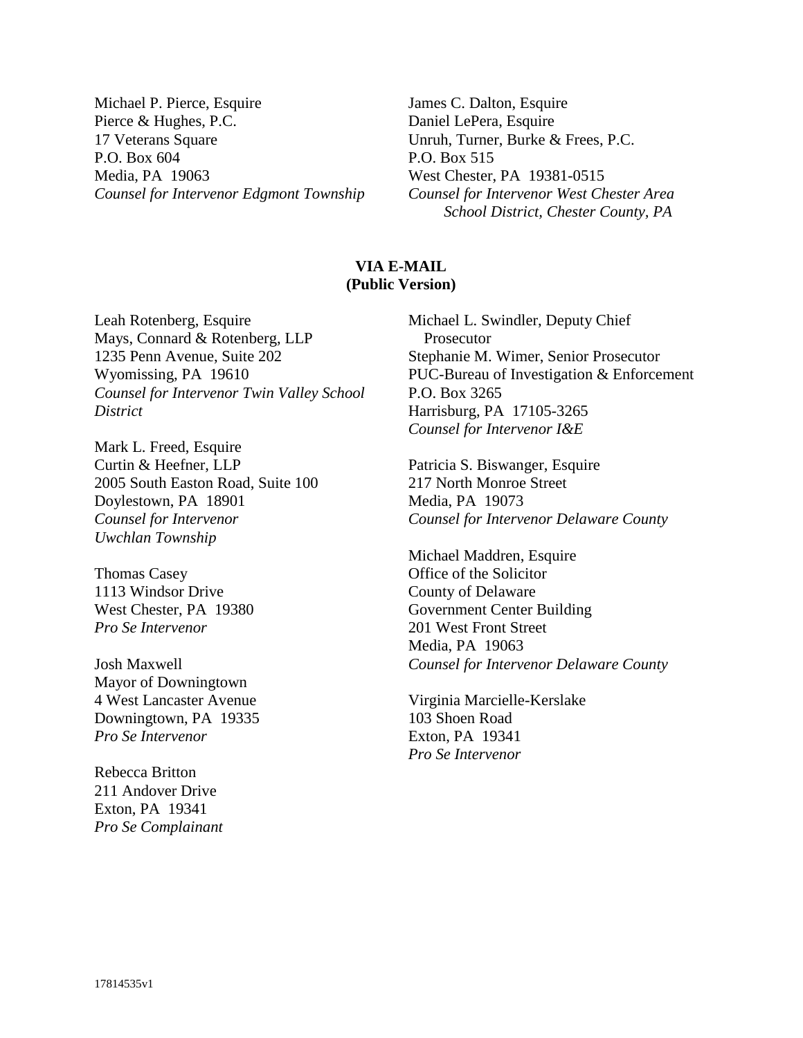Michael P. Pierce, Esquire Pierce & Hughes, P.C. 17 Veterans Square P.O. Box 604 Media, PA 19063 *Counsel for Intervenor Edgmont Township* James C. Dalton, Esquire Daniel LePera, Esquire Unruh, Turner, Burke & Frees, P.C. P.O. Box 515 West Chester, PA 19381-0515 *Counsel for Intervenor West Chester Area School District, Chester County, PA*

## **VIA E-MAIL (Public Version)**

Leah Rotenberg, Esquire Mays, Connard & Rotenberg, LLP 1235 Penn Avenue, Suite 202 Wyomissing, PA 19610 *Counsel for Intervenor Twin Valley School District*

Mark L. Freed, Esquire Curtin & Heefner, LLP 2005 South Easton Road, Suite 100 Doylestown, PA 18901 *Counsel for Intervenor Uwchlan Township*

Thomas Casey 1113 Windsor Drive West Chester, PA 19380 *Pro Se Intervenor* 

Josh Maxwell Mayor of Downingtown 4 West Lancaster Avenue Downingtown, PA 19335 *Pro Se Intervenor*

Rebecca Britton 211 Andover Drive Exton, PA 19341 *Pro Se Complainant*  Michael L. Swindler, Deputy Chief Prosecutor Stephanie M. Wimer, Senior Prosecutor PUC-Bureau of Investigation & Enforcement P.O. Box 3265 Harrisburg, PA 17105-3265 *Counsel for Intervenor I&E*

Patricia S. Biswanger, Esquire 217 North Monroe Street Media, PA 19073 *Counsel for Intervenor Delaware County* 

Michael Maddren, Esquire Office of the Solicitor County of Delaware Government Center Building 201 West Front Street Media, PA 19063 *Counsel for Intervenor Delaware County* 

Virginia Marcielle-Kerslake 103 Shoen Road Exton, PA 19341 *Pro Se Intervenor*